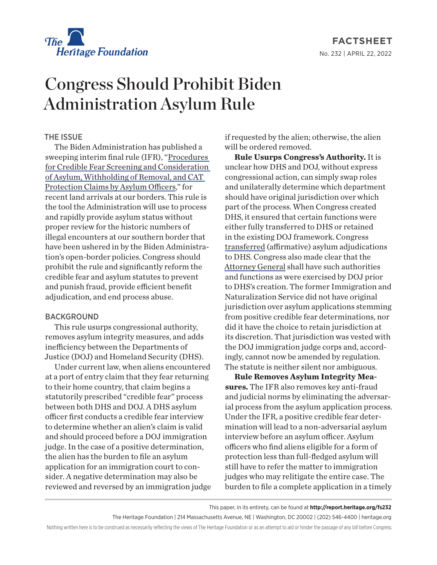

**FACTSHEET** No. 232 | April 22, 2022

## Congress Should Prohibit Biden Administration Asylum Rule

## THE ISSUE

The Biden Administration has published a sweeping interim final rule (IFR), ["Procedures](https://www.federalregister.gov/documents/2022/03/29/2022-06148/procedures-for-credible-fear-screening-and-consideration-of-asylum-withholding-of-removal-and-cat)  [for Credible Fear Screening and Consideration](https://www.federalregister.gov/documents/2022/03/29/2022-06148/procedures-for-credible-fear-screening-and-consideration-of-asylum-withholding-of-removal-and-cat)  [of Asylum, Withholding of Removal, and CAT](https://www.federalregister.gov/documents/2022/03/29/2022-06148/procedures-for-credible-fear-screening-and-consideration-of-asylum-withholding-of-removal-and-cat)  [Protection Claims by Asylum Officers](https://www.federalregister.gov/documents/2022/03/29/2022-06148/procedures-for-credible-fear-screening-and-consideration-of-asylum-withholding-of-removal-and-cat)," for recent land arrivals at our borders. This rule is the tool the Administration will use to process and rapidly provide asylum status without proper review for the historic numbers of illegal encounters at our southern border that have been ushered in by the Biden Administration's open-border policies. Congress should prohibit the rule and significantly reform the credible fear and asylum statutes to prevent and punish fraud, provide efficient benefit adjudication, and end process abuse.

## BACKGROUND

This rule usurps congressional authority, removes asylum integrity measures, and adds inefficiency between the Departments of Justice (DOJ) and Homeland Security (DHS).

Under current law, when aliens encountered at a port of entry claim that they fear returning to their home country, that claim begins a statutorily prescribed "credible fear" process between both DHS and DOJ. A DHS asylum officer first conducts a credible fear interview to determine whether an alien's claim is valid and should proceed before a DOJ immigration judge. In the case of a positive determination, the alien has the burden to file an asylum application for an immigration court to consider. A negative determination may also be reviewed and reversed by an immigration judge if requested by the alien; otherwise, the alien will be ordered removed.

**Rule Usurps Congress's Authority.** It is unclear how DHS and DOJ, without express congressional action, can simply swap roles and unilaterally determine which department should have original jurisdiction over which part of the process. When Congress created DHS, it ensured that certain functions were either fully transferred to DHS or retained in the existing DOJ framework. Congress [transferred](https://www.congress.gov/107/plaws/publ296/PLAW-107publ296.pdf) (affirmative) asylum adjudications to DHS. Congress also made clear that the [Attorney General](https://www.law.cornell.edu/uscode/text/8/1103) shall have such authorities and functions as were exercised by DOJ prior to DHS's creation. The former Immigration and Naturalization Service did not have original jurisdiction over asylum applications stemming from positive credible fear determinations, nor did it have the choice to retain jurisdiction at its discretion. That jurisdiction was vested with the DOJ immigration judge corps and, accordingly, cannot now be amended by regulation. The statute is neither silent nor ambiguous.

**Rule Removes Asylum Integrity Measures.** The IFR also removes key anti-fraud and judicial norms by eliminating the adversarial process from the asylum application process. Under the IFR, a positive credible fear determination will lead to a non-adversarial asylum interview before an asylum officer. Asylum officers who find aliens eligible for a form of protection less than full-fledged asylum will still have to refer the matter to immigration judges who may relitigate the entire case. The burden to file a complete application in a timely

This paper, in its entirety, can be found at **http://report.heritage.org/fs232**

The Heritage Foundation | 214 Massachusetts Avenue, NE | Washington, DC 20002 | (202) 546-4400 | heritage.org

Nothing written here is to be construed as necessarily reflecting the views of The Heritage Foundation or as an attempt to aid or hinder the passage of any bill before Congress.